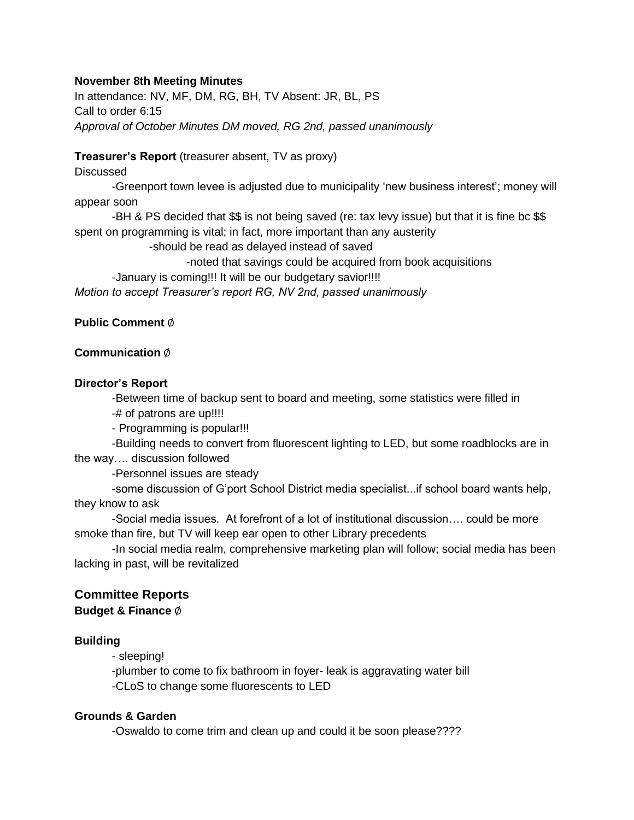#### **November 8th Meeting Minutes**

In attendance: NV, MF, DM, RG, BH, TV Absent: JR, BL, PS Call to order 6:15 *Approval of October Minutes DM moved, RG 2nd, passed unanimously*

### **Treasurer's Report** (treasurer absent, TV as proxy)

#### **Discussed**

-Greenport town levee is adjusted due to municipality 'new business interest'; money will appear soon

-BH & PS decided that \$\$ is not being saved (re: tax levy issue) but that it is fine bc \$\$ spent on programming is vital; in fact, more important than any austerity

-should be read as delayed instead of saved

-noted that savings could be acquired from book acquisitions

-January is coming!!! It will be our budgetary savior!!!!

*Motion to accept Treasurer's report RG, NV 2nd, passed unanimously*

# **Public Comment** ∅

# **Communication** ∅

#### **Director's Report**

-Between time of backup sent to board and meeting, some statistics were filled in -# of patrons are up!!!!

- Programming is popular!!!

-Building needs to convert from fluorescent lighting to LED, but some roadblocks are in the way…. discussion followed

-Personnel issues are steady

-some discussion of G'port School District media specialist...if school board wants help, they know to ask

-Social media issues. At forefront of a lot of institutional discussion…. could be more smoke than fire, but TV will keep ear open to other Library precedents

-In social media realm, comprehensive marketing plan will follow; social media has been lacking in past, will be revitalized

# **Committee Reports**

**Budget & Finance** ∅

# **Building**

- sleeping!

-plumber to come to fix bathroom in foyer- leak is aggravating water bill -CLoS to change some fluorescents to LED

#### **Grounds & Garden**

-Oswaldo to come trim and clean up and could it be soon please????